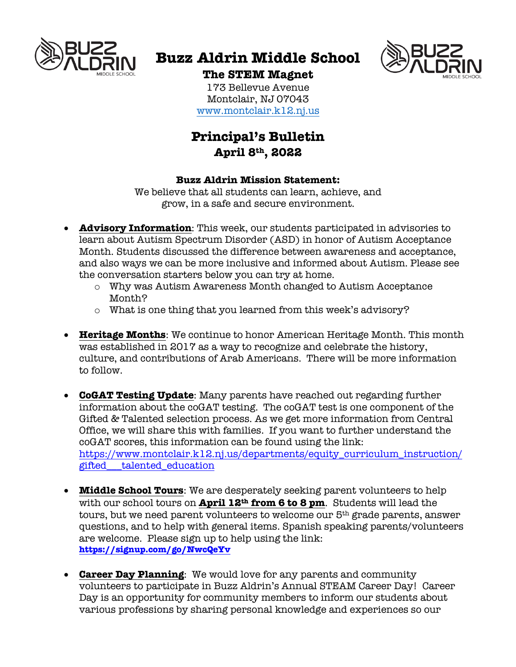

# **Buzz Aldrin Middle School**



## **The STEM Magnet**

173 Bellevue Avenue Montclair, NJ 07043 www.montclair.k12.nj.us

## **Principal's Bulletin April 8th, 2022**

## **Buzz Aldrin Mission Statement:**

We believe that all students can learn, achieve, and grow, in a safe and secure environment.

- **Advisory Information**: This week, our students participated in advisories to learn about Autism Spectrum Disorder (ASD) in honor of Autism Acceptance Month. Students discussed the difference between awareness and acceptance, and also ways we can be more inclusive and informed about Autism. Please see the conversation starters below you can try at home.
	- o Why was Autism Awareness Month changed to Autism Acceptance Month?
	- o What is one thing that you learned from this week's advisory?
- **Heritage Months**: We continue to honor American Heritage Month. This month was established in 2017 as a way to recognize and celebrate the history, culture, and contributions of Arab Americans. There will be more information to follow.
- **CoGAT Testing Update**: Many parents have reached out regarding further information about the coGAT testing. The coGAT test is one component of the Gifted & Talented selection process. As we get more information from Central Office, we will share this with families. If you want to further understand the coGAT scores, this information can be found using the link: https://www.montclair.k12.nj.us/departments/equity\_curriculum\_instruction/ gifted\_\_\_talented\_education
- **Middle School Tours**: We are desperately seeking parent volunteers to help with our school tours on **April 12th from 6 to 8 pm**. Students will lead the tours, but we need parent volunteers to welcome our 5th grade parents, answer questions, and to help with general items. Spanish speaking parents/volunteers are welcome. Please sign up to help using the link: **https://signup.com/go/NwcQeYv**
- **Career Day Planning**: We would love for any parents and community volunteers to participate in Buzz Aldrin's Annual STEAM Career Day! Career Day is an opportunity for community members to inform our students about various professions by sharing personal knowledge and experiences so our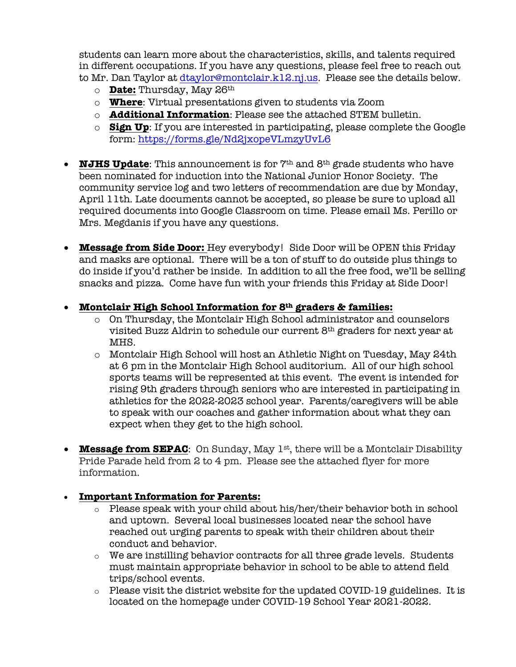students can learn more about the characteristics, skills, and talents required in different occupations. If you have any questions, please feel free to reach out to Mr. Dan Taylor at dtaylor@montclair.k12.nj.us. Please see the details below.

- o **Date:** Thursday, May 26th
- o **Where**: Virtual presentations given to students via Zoom
- o **Additional Information**: Please see the attached STEM bulletin.
- o **Sign Up**: If you are interested in participating, please complete the Google form: https://forms.gle/Nd2jxopeVLmzyUvL6
- **NJHS Update**: This announcement is for  $7<sup>th</sup>$  and  $8<sup>th</sup>$  grade students who have been nominated for induction into the National Junior Honor Society. The community service log and two letters of recommendation are due by Monday, April 11th. Late documents cannot be accepted, so please be sure to upload all required documents into Google Classroom on time. Please email Ms. Perillo or Mrs. Megdanis if you have any questions.
- **Message from Side Door:** Hey everybody! Side Door will be OPEN this Friday and masks are optional. There will be a ton of stuff to do outside plus things to do inside if you'd rather be inside. In addition to all the free food, we'll be selling snacks and pizza. Come have fun with your friends this Friday at Side Door!
- **Montclair High School Information for 8th graders & families:**
	- o On Thursday, the Montclair High School administrator and counselors visited Buzz Aldrin to schedule our current 8th graders for next year at MHS.
	- o Montclair High School will host an Athletic Night on Tuesday, May 24th at 6 pm in the Montclair High School auditorium. All of our high school sports teams will be represented at this event. The event is intended for rising 9th graders through seniors who are interested in participating in athletics for the 2022-2023 school year. Parents/caregivers will be able to speak with our coaches and gather information about what they can expect when they get to the high school.
- **Message from SEPAC**: On Sunday, May 1<sup>st</sup>, there will be a Montclair Disability Pride Parade held from 2 to 4 pm. Please see the attached flyer for more information.

## • **Important Information for Parents:**

- o Please speak with your child about his/her/their behavior both in school and uptown. Several local businesses located near the school have reached out urging parents to speak with their children about their conduct and behavior.
- o We are instilling behavior contracts for all three grade levels. Students must maintain appropriate behavior in school to be able to attend field trips/school events.
- o Please visit the district website for the updated COVID-19 guidelines. It is located on the homepage under COVID-19 School Year 2021-2022.